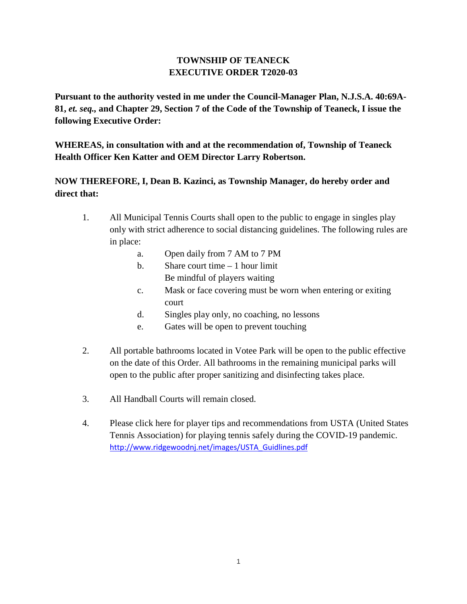## **TOWNSHIP OF TEANECK EXECUTIVE ORDER T2020-03**

**Pursuant to the authority vested in me under the Council-Manager Plan, N.J.S.A. 40:69A-81,** *et. seq.,* **and Chapter 29, Section 7 of the Code of the Township of Teaneck, I issue the following Executive Order:**

**WHEREAS, in consultation with and at the recommendation of, Township of Teaneck Health Officer Ken Katter and OEM Director Larry Robertson.**

## **NOW THEREFORE, I, Dean B. Kazinci, as Township Manager, do hereby order and direct that:**

- 1. All Municipal Tennis Courts shall open to the public to engage in singles play only with strict adherence to social distancing guidelines. The following rules are in place:
	- a. Open daily from 7 AM to 7 PM
	- b. Share court time  $-1$  hour limit Be mindful of players waiting
	- c. Mask or face covering must be worn when entering or exiting court
	- d. Singles play only, no coaching, no lessons
	- e. Gates will be open to prevent touching
- 2. All portable bathrooms located in Votee Park will be open to the public effective on the date of this Order. All bathrooms in the remaining municipal parks will open to the public after proper sanitizing and disinfecting takes place.
- 3. All Handball Courts will remain closed.
- 4. Please click here for player tips and recommendations from USTA (United States Tennis Association) for playing tennis safely during the COVID-19 pandemic. [http://www.ridgewoodnj.net/images/USTA\\_Guidlines.pdf](http://www.ridgewoodnj.net/images/USTA_Guidlines.pdf)